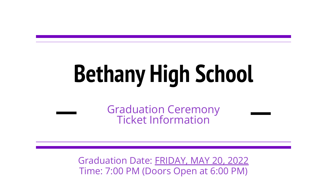# **Bethany High School**

Graduation Ceremony Ticket Information

Graduation Date: FRIDAY, MAY 20, 2022 Time: 7:00 PM (Doors Open at 6:00 PM)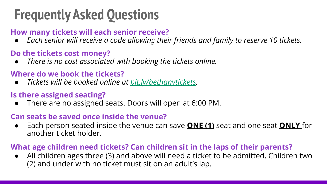# **Frequently Asked Questions**

### **How many tickets will each senior receive?**

● *Each senior will receive a code allowing their friends and family to reserve 10 tickets.*

### **Do the tickets cost money?**

● *There is no cost associated with booking the tickets online.*

### **Where do we book the tickets?**

● *Tickets will be booked online at [bit.ly/bethanytickets.](http://bit.ly/bethanytickets)*

#### **Is there assigned seating?**

There are no assigned seats. Doors will open at 6:00 PM.

#### **Can seats be saved once inside the venue?**

● Each person seated inside the venue can save **ONE (1)** seat and one seat **ONLY** for another ticket holder.

#### **What age children need tickets? Can children sit in the laps of their parents?**

All children ages three (3) and above will need a ticket to be admitted. Children two (2) and under with no ticket must sit on an adult's lap.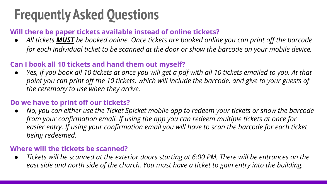# **Frequently Asked Questions**

#### **Will there be paper tickets available instead of online tickets?**

*● All tickets MUST be booked online. Once tickets are booked online you can print off the barcode for each individual ticket to be scanned at the door or show the barcode on your mobile device.*

#### **Can I book all 10 tickets and hand them out myself?**

*● Yes, if you book all 10 tickets at once you will get a pdf with all 10 tickets emailed to you. At that point you can print off the 10 tickets, which will include the barcode, and give to your guests of the ceremony to use when they arrive.*

#### **Do we have to print off our tickets?**

*● No, you can either use the Ticket Spicket mobile app to redeem your tickets or show the barcode from your confirmation email. If using the app you can redeem multiple tickets at once for easier entry. If using your confirmation email you will have to scan the barcode for each ticket being redeemed.*

#### **Where will the tickets be scanned?**

*● Tickets will be scanned at the exterior doors starting at 6:00 PM. There will be entrances on the east side and north side of the church. You must have a ticket to gain entry into the building.*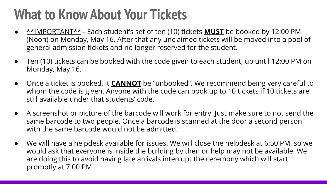# **What to Know About Your Tickets**

- \*\*IMPORTANT\*\* Each student's set of ten (10) tickets **MUST** be booked by 12:00 PM (Noon) on Monday, May 16. After that any unclaimed tickets will be moved into a pool of general admission tickets and no longer reserved for the student.
- Ten (10) tickets can be booked with the code given to each student, up until 12:00 PM on Monday, May 16.
- Once a ticket is booked, it **CANNOT** be "unbooked". We recommend being very careful to whom the code is given. Anyone with the code can book up to 10 tickets if 10 tickets are still available under that students' code.
- A screenshot or picture of the barcode will work for entry. Just make sure to not send the same barcode to two people. Once a barcode is scanned at the door a second person with the same barcode would not be admitted.
- We will have a helpdesk available for issues. We will close the helpdesk at 6:50 PM, so we would ask that everyone is inside the building by then or help may not be available. We are doing this to avoid having late arrivals interrupt the ceremony which will start promptly at 7:00 PM.